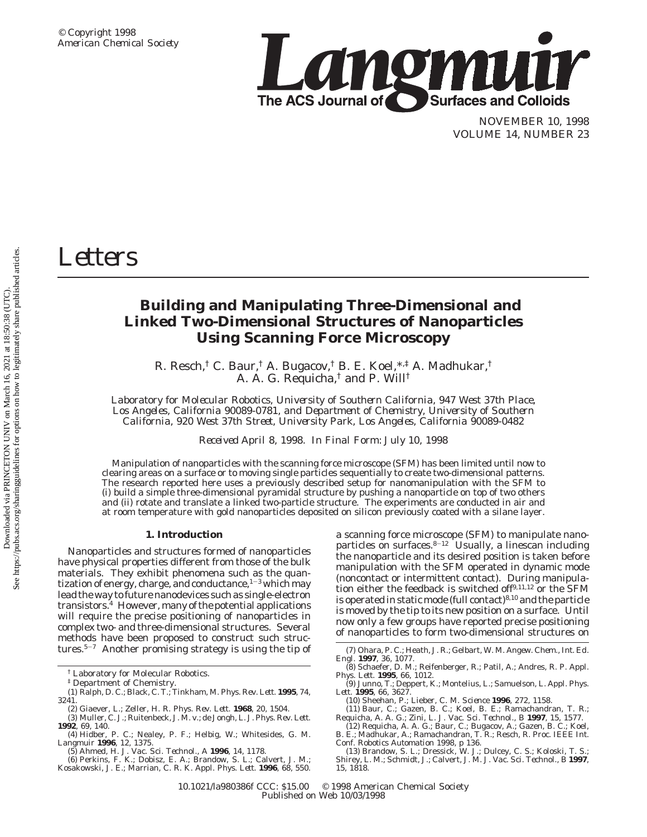

NOVEMBER 10, 1998 VOLUME 14, NUMBER 23

# *Letters*

## **Building and Manipulating Three-Dimensional and Linked Two-Dimensional Structures of Nanoparticles Using Scanning Force Microscopy**

R. Resch,† C. Baur,† A. Bugacov,† B. E. Koel,\*,‡ A. Madhukar,† A. A. G. Requicha,† and P. Will†

*Laboratory for Molecular Robotics, University of Southern California, 947 West 37th Place, Los Angeles, California 90089-0781, and Department of Chemistry, University of Southern California, 920 West 37th Street, University Park, Los Angeles, California 90089-0482*

*Received April 8, 1998. In Final Form: July 10, 1998*

Manipulation of nanoparticles with the scanning force microscope (SFM) has been limited until now to clearing areas on a surface or to moving single particles sequentially to create two-dimensional patterns. The research reported here uses a previously described setup for nanomanipulation with the SFM to (i) build a simple three-dimensional pyramidal structure by pushing a nanoparticle on top of two others and (ii) rotate and translate a linked two-particle structure. The experiments are conducted in air and at room temperature with gold nanoparticles deposited on silicon previously coated with a silane layer.

#### **1. Introduction**

Nanoparticles and structures formed of nanoparticles have physical properties different from those of the bulk materials. They exhibit phenomena such as the quantization of energy, charge, and conductance, $1-3$  which may lead the way to future nanodevices such as single-electron transistors.4 However, many of the potential applications will require the precise positioning of nanoparticles in complex two- and three-dimensional structures. Several methods have been proposed to construct such structures.5-<sup>7</sup> Another promising strategy is using the tip of a scanning force microscope (SFM) to manipulate nanoparticles on surfaces. $8-12$  Usually, a linescan including the nanoparticle and its desired position is taken before manipulation with the SFM operated in dynamic mode (noncontact or intermittent contact). During manipulation either the feedback is switched off<sup>9,11,12</sup> or the SFM is operated in static mode (full contact) $8,10$  and the particle is moved by the tip to its new position on a surface. Until now only a few groups have reported precise positioning of nanoparticles to form two-dimensional structures on

(9) Junno, T.; Deppert, K.; Montelius, L.; Samuelson, L. *Appl. Phys. Lett*. **1995**, *66*, 3627.

10.1021/la980386f CCC: \$15.00 © 1998 American Chemical Society Published on Web 10/03/1998

<sup>†</sup> Laboratory for Molecular Robotics.

<sup>‡</sup> Department of Chemistry.

<sup>(1)</sup> Ralph, D. C.; Black, C. T.; Tinkham, M. *Phys. Rev. Lett*. **1995**, *74*, 3241.

<sup>(2)</sup> Giaever, L.; Zeller, H. R. *Phys. Rev. Lett*. **1968**, *20*, 1504.

<sup>(3)</sup> Muller, C. J.; Ruitenbeck, J. M. v.; de Jongh, L. J. *Phys. Rev. Lett*. **1992**, *69*, 140.

<sup>(4)</sup> Hidber, P. C.; Nealey, P. F.; Helbig, W.; Whitesides, G. M. *Langmuir* **1996**, *12*, 1375. (5) Ahmed, H. *J. Vac. Sci. Technol., A* **1996**, *14*, 1178.

<sup>(6)</sup> Perkins, F. K.; Dobisz, E. A.; Brandow, S. L.; Calvert, J. M.;

Kosakowski, J. E.; Marrian, C. R. K. *Appl. Phys. Lett*. **1996**, *68*, 550.

<sup>(7)</sup> Ohara, P. C.; Heath, J. R.; Gelbart, W. M. *Angew. Chem., Int. Ed. Engl.* **1997**, *36*, 1077.

<sup>(8)</sup> Schaefer, D. M.; Reifenberger, R.; Patil, A.; Andres, R. P. *Appl. Phys. Lett*. **1995**, *66*, 1012.

<sup>(10)</sup> Sheehan, P.; Lieber, C. M. *Science* **1996**, 272, 1158.<br>(11) Baur, C.; Gazen, B. C.; Koel, B. E.; Ramachandran, T. R.; Requicha, A. A. G.; Zini, L. *J. Vac. Sci. Technol., B* **1997**, *15*, 1577.

<sup>(12)</sup> Requicha, A. A. G.; Baur, C.; Bugacov, A.; Gazen, B. C.; Koel, B. E.; Madhukar, A.; Ramachandran, T. R.; Resch, R. *Proc. IEEE Int.*

*Conf. Robotics Automation* 1998, p 136. (13) Brandow, S. L.; Dressick, W. J.; Dulcey, C. S.; Koloski, T. S.; Shirey, L. M.; Schmidt, J.; Calvert, J. M. *J. Vac. Sci. Technol., B* **1997**, *15*, 1818.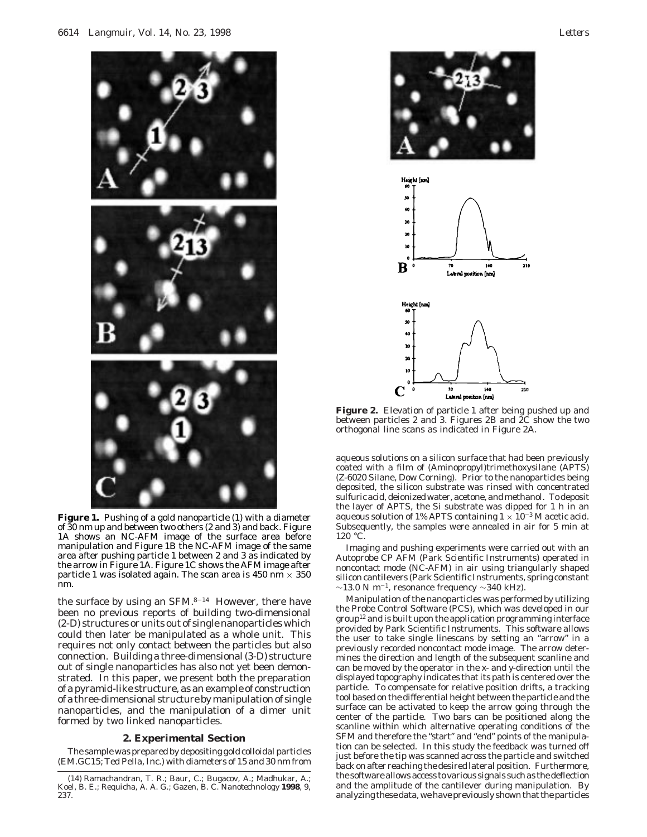

**Figure 1.** Pushing of a gold nanoparticle (1) with a diameter of 30 nm up and between two others (2 and 3) and back. Figure 1A shows an NC-AFM image of the surface area before manipulation and Figure 1B the NC-AFM image of the same area after pushing particle 1 between 2 and 3 as indicated by the arrow in Figure 1A. Figure 1C shows the AFM image after particle 1 was isolated again. The scan area is 450 nm  $\times$  350 nm.

the surface by using an  $SFM.^{8-14}$  However, there have been no previous reports of building two-dimensional (2-D) structures or units out of single nanoparticles which could then later be manipulated as a whole unit. This requires not only contact between the particles but also connection. Building a three-dimensional (3-D) structure out of single nanoparticles has also not yet been demonstrated. In this paper, we present both the preparation of a pyramid-like structure, as an example of construction of a three-dimensional structure by manipulation of single nanoparticles, and the manipulation of a dimer unit formed by two linked nanoparticles.

#### **2. Experimental Section**

The sample was prepared by depositing gold colloidal particles (EM.GC15; Ted Pella, Inc.) with diameters of 15 and 30 nm from





**Figure 2.** Elevation of particle 1 after being pushed up and between particles 2 and 3. Figures 2B and 2C show the two orthogonal line scans as indicated in Figure 2A.

aqueous solutions on a silicon surface that had been previously coated with a film of (Aminopropyl)trimethoxysilane (APTS) (Z-6020 Silane, Dow Corning). Prior to the nanoparticles being deposited, the silicon substrate was rinsed with concentrated sulfuric acid, deionized water, acetone, and methanol. To deposit the layer of APTS, the Si substrate was dipped for 1 h in an aqueous solution of 1% APTS containing  $1 \times 10^{-3}$  M acetic acid. Subsequently, the samples were annealed in air for 5 min at  $120 °C$ .

Imaging and pushing experiments were carried out with an Autoprobe CP AFM (Park Scientific Instruments) operated in noncontact mode (NC-AFM) in air using triangularly shaped silicon cantilevers (Park Scientific Instruments, spring constant  $\sim$ 13.0 N m<sup>-1</sup>, resonance frequency  $\sim$ 340 kHz).

Manipulation of the nanoparticles was performed by utilizing the Probe Control Software (PCS), which was developed in our group12 and is built upon the application programming interface provided by Park Scientific Instruments. This software allows the user to take single linescans by setting an "arrow" in a previously recorded noncontact mode image. The arrow determines the direction and length of the subsequent scanline and can be moved by the operator in the *x*- and *y*-direction until the displayed topography indicates that its path is centered over the particle. To compensate for relative position drifts, a tracking tool based on the differential height between the particle and the surface can be activated to keep the arrow going through the center of the particle. Two bars can be positioned along the scanline within which alternative operating conditions of the SFM and therefore the "start" and "end" points of the manipulation can be selected. In this study the feedback was turned off just before the tip was scanned across the particle and switched back on after reaching the desired lateral position. Furthermore, the software allows access to various signals such as the deflection and the amplitude of the cantilever during manipulation. By analyzing these data, we have previously shown that the particles

<sup>(14)</sup> Ramachandran, T. R.; Baur, C.; Bugacov, A.; Madhukar, A.; Koel, B. E.; Requicha, A. A. G.; Gazen, B. C. *Nanotechnology* **1998**, *9*, 237.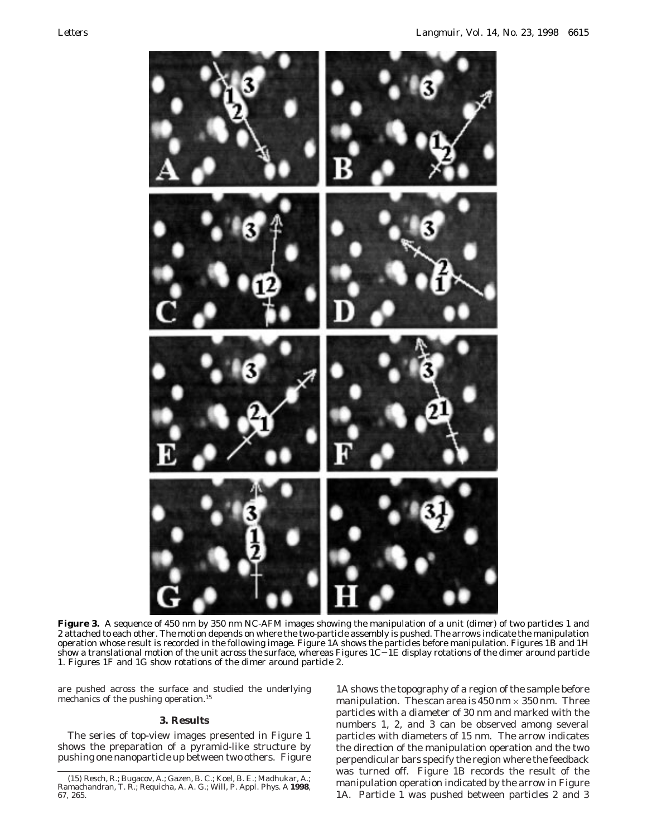

**Figure 3.** A sequence of 450 nm by 350 nm NC-AFM images showing the manipulation of a unit (dimer) of two particles 1 and 2 attached to each other. The motion depends on where the two-particle assembly is pushed. The arrows indicate the manipulation operation whose result is recorded in the following image. Figure 1A shows the particles before manipulation. Figures 1B and 1H show a translational motion of the unit across the surface, whereas Figures  $1C-1E$  display rotations of the dimer around particle 1. Figures 1F and 1G show rotations of the dimer around particle 2.

are pushed across the surface and studied the underlying mechanics of the pushing operation.<sup>15</sup>

### **3. Results**

The series of top-view images presented in Figure 1 shows the preparation of a pyramid-like structure by pushing one nanoparticle up between two others. Figure

1A shows the topography of a region of the sample before manipulation. The scan area is  $450 \text{ nm} \times 350 \text{ nm}$ . Three particles with a diameter of 30 nm and marked with the numbers 1, 2, and 3 can be observed among several particles with diameters of 15 nm. The arrow indicates the direction of the manipulation operation and the two perpendicular bars specify the region where the feedback was turned off. Figure 1B records the result of the manipulation operation indicated by the arrow in Figure 1A. Particle 1 was pushed between particles 2 and 3

<sup>(15)</sup> Resch, R.; Bugacov, A.; Gazen, B. C.; Koel, B. E.; Madhukar, A.; Ramachandran, T. R.; Requicha, A. A. G.; Will, P. *Appl. Phys. A* **1998**, *67*, 265.